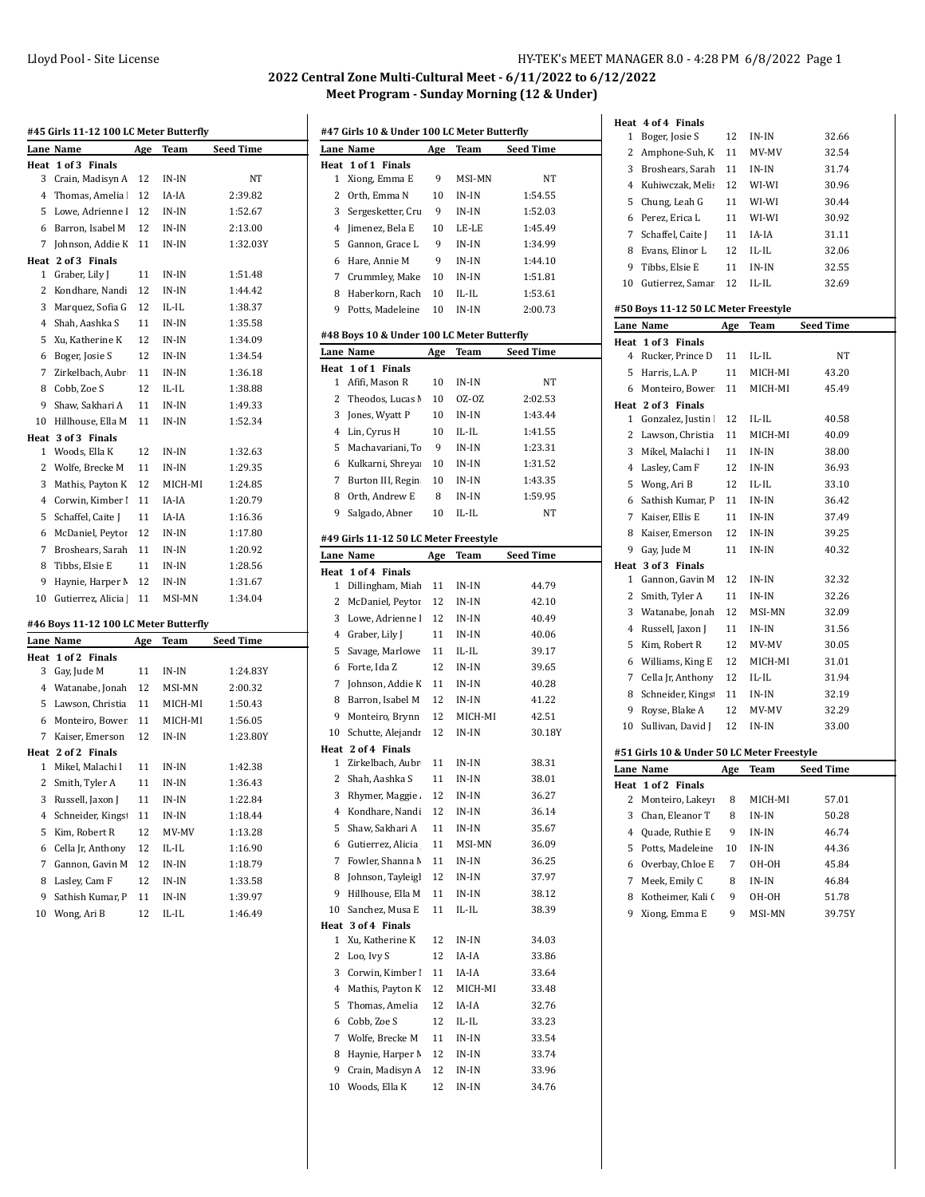## Lloyd Pool - Site License **HY-TEK's MEET MANAGER 8.0 - 4:28 PM 6/8/2022** Page 1

## **2022 Central Zone Multi-Cultural Meet - 6/11/2022 to 6/12/2022 Meet Program - Sunday Morning (12 & Under)**

| #45 Girls 11-12 100 LC Meter Butterfly |                                       |     |         |                  |  |
|----------------------------------------|---------------------------------------|-----|---------|------------------|--|
|                                        | Lane Name                             | Age | Team    | <b>Seed Time</b> |  |
| Heat                                   | 1 of 3<br><b>Finals</b>               |     |         |                  |  |
| 3                                      | Crain, Madisyn A                      | 12  | IN-IN   | NΤ               |  |
| 4                                      | Thomas, Amelia                        | 12  | IA-IA   | 2:39.82          |  |
| 5                                      | Lowe, Adrienne l                      | 12  | IN-IN   | 1:52.67          |  |
| 6                                      | Barron, Isabel M                      | 12  | IN-IN   | 2:13.00          |  |
| 7                                      | Johnson, Addie K                      | 11  | IN-IN   | 1:32.03Y         |  |
|                                        | Heat 2 of 3 Finals                    |     |         |                  |  |
| 1                                      | Graber, Lily J                        | 11  | IN-IN   | 1:51.48          |  |
| 2                                      | Kondhare, Nandi                       | 12  | IN-IN   | 1:44.42          |  |
| 3                                      | Marquez, Sofia G                      | 12  | IL-IL   | 1:38.37          |  |
| 4                                      | Shah, Aashka S                        | 11  | IN-IN   | 1:35.58          |  |
| 5                                      | Xu, Katherine K                       | 12  | IN-IN   | 1:34.09          |  |
| 6                                      | Boger, Josie S                        | 12  | IN-IN   | 1:34.54          |  |
| 7                                      | Zirkelbach, Aubr                      | 11  | IN-IN   | 1:36.18          |  |
| 8                                      | Cobb, Zoe S                           | 12  | IL-IL   | 1:38.88          |  |
| 9                                      | Shaw, Sakhari A                       | 11  | IN-IN   | 1:49.33          |  |
| 10                                     | Hillhouse, Ella M                     | 11  | IN-IN   | 1:52.34          |  |
| Heat                                   | 3 of 3 Finals                         |     |         |                  |  |
| 1                                      | Woods, Ella K                         | 12  | IN-IN   | 1:32.63          |  |
| 2                                      | Wolfe, Brecke M                       | 11  | IN-IN   | 1:29.35          |  |
| 3                                      | Mathis, Payton K                      | 12  | MICH-MI | 1:24.85          |  |
| 4                                      | Corwin, Kimber                        | 11  | IA-IA   | 1:20.79          |  |
| 5                                      | Schaffel, Caite I                     | 11  | IA-IA   | 1:16.36          |  |
| 6                                      | McDaniel, Peytor                      | 12  | IN-IN   | 1:17.80          |  |
| 7                                      | Broshears, Sarah                      | 11  | IN-IN   | 1:20.92          |  |
| 8                                      | Tibbs, Elsie E                        | 11  | IN-IN   | 1:28.56          |  |
| 9                                      | Haynie, Harper M                      | 12  | IN-IN   | 1:31.67          |  |
| 10                                     | Gutierrez, Alicia                     | 11  | MSI-MN  | 1:34.04          |  |
|                                        | #46 Boys 11-12 100 LC Meter Butterfly |     |         |                  |  |
|                                        | Lane Name                             | Age | Team    | <b>Seed Time</b> |  |
|                                        | Heat 1 of 2 Finals                    |     |         |                  |  |
| 3                                      | Gay, Jude M                           | 11  | IN-IN   | 1:24.83Y         |  |
| 4                                      | Watanabe, Jonah                       | 12  | MSI-MN  | 2:00.32          |  |
| 5                                      | Lawson, Christia                      | 11  | MICH-MI | 1:50.43          |  |
| 6                                      | Monteiro, Bower                       | 11  | MICH-MI | 1:56.05          |  |
| 7                                      | Kaiser, Emerson                       | 12  | IN-IN   | 1:23.80Y         |  |
| Heat                                   | 2 of 2 Finals                         |     |         |                  |  |
| 1                                      | Mikel, Malachi I                      | 11  | IN-IN   | 1:42.38          |  |
| 2                                      | Smith, Tyler A                        | 11  | IN-IN   | 1:36.43          |  |
|                                        | 3 Russell, Jaxon J                    | 11  | IN-IN   | 1:22.84          |  |
| 4                                      | Schneider, Kings                      | 11  | IN-IN   | 1:18.44          |  |
| 5                                      | Kim, Robert R                         | 12  | MV-MV   | 1:13.28          |  |
| 6                                      | Cella Jr, Anthony                     | 12  | IL-IL   | 1:16.90          |  |
| 7                                      | Gannon, Gavin M                       | 12  | $IN-IN$ | 1:18.79          |  |
| 8                                      | Lasley, Cam F                         | 12  | $IN-IN$ | 1:33.58          |  |
| 9                                      | Sathish Kumar, P                      | 11  | IN-IN   | 1:39.97          |  |
| 10                                     | Wong, Ari B                           | 12  | IL-IL   | 1:46.49          |  |

|           | #47 Girls 10 & Under 100 LC Meter Butterfly             |            |                |                  |  |
|-----------|---------------------------------------------------------|------------|----------------|------------------|--|
|           | Lane Name                                               | Age        | Team           | <b>Seed Time</b> |  |
| Heat      | 1 of 1 Finals                                           |            |                |                  |  |
| 1         | Xiong, Emma E                                           | 9          | MSI-MN         | NT               |  |
| 2         | Orth, Emma N                                            | 10         | IN-IN          | 1:54.55          |  |
| 3         | Sergesketter, Cru                                       | 9          | IN-IN          | 1:52.03          |  |
| 4         | Jimenez, Bela E                                         | 10         | LE-LE          | 1:45.49          |  |
| 5         | Gannon, Grace L                                         | 9          | IN-IN          | 1:34.99          |  |
| 6         | Hare, Annie M                                           | 9          | IN-IN          | 1:44.10          |  |
| 7         | Crummley, Make                                          | 10         | IN-IN          | 1:51.81          |  |
| 8         | Haberkorn, Rach                                         | 10         | IL-IL          | 1:53.61          |  |
| 9         | Potts, Madeleine                                        | 10         | IN-IN          | 2:00.73          |  |
|           |                                                         |            |                |                  |  |
|           | #48 Boys 10 & Under 100 LC Meter Butterfly<br>Lane Name |            |                | <b>Seed Time</b> |  |
|           |                                                         | Age        | Team           |                  |  |
| Heat<br>1 | 1 of 1 Finals<br>Afifi, Mason R                         | 10         | IN-IN          | NΤ               |  |
| 2         | Theodos, Lucas N                                        | 10         | OZ-OZ          | 2:02.53          |  |
| 3         | Jones, Wyatt P                                          | 10         | IN-IN          | 1:43.44          |  |
| 4         |                                                         |            | IL-IL          | 1:41.55          |  |
|           | Lin, Cyrus H                                            | 10         |                |                  |  |
| 5         | Machavariani, To                                        | 9          | IN-IN          | 1:23.31          |  |
| 6         | Kulkarni, Shreya                                        | 10         | IN-IN          | 1:31.52          |  |
| 7         | Burton III, Regin                                       | 10         | IN-IN          | 1:43.35          |  |
| 8         | Orth, Andrew E                                          | 8          | IN-IN          | 1:59.95          |  |
| 9         | Salgado, Abner                                          | 10         | IL-IL          | NΤ               |  |
|           | #49 Girls 11-12 50 LC Meter Freestyle                   |            |                |                  |  |
|           | Lane Name                                               | <u>Age</u> | <b>Team</b>    | Seed Time        |  |
| Heat      | 1 of 4 Finals                                           |            |                |                  |  |
| 1         | Dillingham, Miah                                        | 11         | IN-IN          | 44.79            |  |
| 2         | McDaniel, Peytor                                        | 12         | IN-IN          | 42.10            |  |
| 3         | Lowe, Adrienne l                                        | 12         | IN-IN          | 40.49            |  |
| 4         | Graber, Lily J                                          | 11         | IN-IN          | 40.06            |  |
| 5         | Savage, Marlowe                                         | 11         | IL-IL          | 39.17            |  |
| 6         | Forte, Ida Z                                            | 12         | IN-IN          | 39.65            |  |
| 7         | Johnson, Addie K                                        | 11         | IN-IN          | 40.28            |  |
| 8         | Barron, Isabel M                                        | 12         | IN-IN          | 41.22            |  |
| 9         | Monteiro, Brynn                                         | 12         | MICH-MI        | 42.51            |  |
| 10        | Schutte, Alejandı                                       | 12         | IN-IN          | 30.18Y           |  |
|           | Heat 2 of 4 Finals                                      |            |                |                  |  |
| 1         | Zirkelbach, Aubr                                        | 11         | IN-IN          | 38.31            |  |
| 2         | Shah, Aashka S                                          | 11         | $IN-IN$        | 38.01            |  |
|           | 3 Rhymer, Maggie.                                       | 12         | IN-IN          | 36.27            |  |
| 4         | Kondhare, Nandi                                         | 12         | IN-IN          | 36.14            |  |
| 5         | Shaw, Sakhari A                                         | 11         | IN-IN          | 35.67            |  |
| 6         | Gutierrez, Alicia                                       | 11         | MSI-MN         | 36.09            |  |
| 7         | Fowler, Shanna M                                        | 11         | IN-IN          | 36.25            |  |
| 8         | Johnson, Tayleigl                                       | 12         | IN-IN          | 37.97            |  |
| 9         | Hillhouse, Ella M                                       | 11         | IN-IN          | 38.12            |  |
| 10        | Sanchez, Musa E                                         | 11         | IL-IL          | 38.39            |  |
| Heat      | 3 of 4 Finals                                           |            |                |                  |  |
| 1         | Xu, Katherine K                                         | 12         | IN-IN          | 34.03            |  |
| 2         | Loo, Ivy S                                              | 12         | IA-IA          | 33.86            |  |
| 3         | Corwin, Kimber I                                        | 11         | IA-IA          | 33.64            |  |
| 4         | Mathis, Payton K                                        | 12         | MICH-MI        | 33.48            |  |
| 5         | Thomas, Amelia                                          | 12         | IA-IA          | 32.76            |  |
| 6         | Cobb, Zoe S                                             | 12         | IL-IL          | 33.23            |  |
| 7         | Wolfe, Brecke M                                         | 11         |                | 33.54            |  |
|           |                                                         |            | IN-IN          |                  |  |
| 8<br>9    | Haynie, Harper M<br>Crain, Madisyn A                    | 12         | IN-IN          | 33.74            |  |
| 10        | Woods, Ella K                                           | 12<br>12   | IN-IN<br>IN-IN | 33.96<br>34.76   |  |
|           |                                                         |            |                |                  |  |

|    | Heat 4 of 4 Finals                         |     |         |                  |
|----|--------------------------------------------|-----|---------|------------------|
| 1  | Boger, Josie S                             | 12  | IN-IN   | 32.66            |
| 2  | Amphone-Suh, K                             | 11  | MV-MV   | 32.54            |
| 3  | Broshears, Sarah                           | 11  | IN-IN   | 31.74            |
| 4  | Kuhiwczak, Melis                           | 12  | WI-WI   | 30.96            |
| 5  | Chung, Leah G                              | 11  | WI-WI   | 30.44            |
| 6  | Perez, Erica L                             | 11  | WI-WI   | 30.92            |
| 7  | Schaffel, Caite J                          | 11  | IA-IA   | 31.11            |
| 8  | Evans, Elinor L                            | 12  | IL-IL   | 32.06            |
| 9  | Tibbs, Elsie E                             | 11  | IN-IN   | 32.55            |
| 10 | Gutierrez, Samar                           | 12  | IL-IL   | 32.69            |
|    | #50 Boys 11-12 50 LC Meter Freestyle       |     |         |                  |
|    | Lane Name                                  | Age | Team    | <b>Seed Time</b> |
|    | Heat 1 of 3 Finals                         |     |         |                  |
| 4  | Rucker, Prince D                           | 11  | IL-IL   | NT               |
| 5  | Harris, L.A. P                             | 11  | MICH-MI | 43.20            |
| 6  | Monteiro, Bower                            | 11  | MICH-MI | 45.49            |
|    | Heat 2 of 3 Finals                         |     |         |                  |
| 1  | Gonzalez, Justin                           | 12  | IL-IL   | 40.58            |
| 2  | Lawson, Christia                           | 11  | MICH-MI | 40.09            |
| 3  | Mikel, Malachi I                           | 11  | IN-IN   | 38.00            |
| 4  | Lasley, Cam F                              | 12  | $IN-IN$ | 36.93            |
| 5  | Wong, Ari B                                | 12  | IL-IL   | 33.10            |
| 6  | Sathish Kumar, P                           | 11  | IN-IN   | 36.42            |
| 7  | Kaiser, Ellis E                            | 11  | IN-IN   | 37.49            |
| 8  | Kaiser, Emerson                            | 12  | $IN-IN$ | 39.25            |
| 9  | Gay, Jude M                                | 11  | IN-IN   | 40.32            |
|    | Heat 3 of 3 Finals                         |     |         |                  |
| 1  | Gannon, Gavin M                            | 12  | IN-IN   | 32.32            |
| 2  | Smith, Tyler A                             | 11  | IN-IN   | 32.26            |
| 3  | Watanabe, Jonah                            | 12  | MSI-MN  | 32.09            |
| 4  | Russell, Jaxon J                           | 11  | IN-IN   | 31.56            |
| 5  | Kim, Robert R                              | 12  | MV-MV   | 30.05            |
| 6  | Williams, King E                           | 12  | MICH-MI | 31.01            |
| 7  | Cella Jr, Anthony                          | 12  | IL-IL   | 31.94            |
| 8  | Schneider, Kings                           | 11  | IN-IN   | 32.19            |
| 9  | Royse, Blake A                             | 12  | MV-MV   | 32.29            |
| 10 | Sullivan, David J                          | 12  | IN-IN   | 33.00            |
|    | #51 Girls 10 & Under 50 LC Meter Freestyle |     |         |                  |
|    | Lane Name                                  | Age | Team    | Seed Time        |
|    | Heat 1 of 2<br><b>Finals</b>               |     |         |                  |
| 2  | Monteiro, Lakeyi                           | 8   | MICH-MI | 57.01            |
| 3  | Chan, Eleanor T                            | 8   | IN-IN   | 50.28            |
| 4  | Quade, Ruthie E                            | 9   | IN-IN   | 46.74            |
| 5  | Potts, Madeleine                           | 10  | IN-IN   | 44.36            |
| 6  | Overbay, Chloe E                           | 7   | OH-OH   | 45.84            |
| 7  | Meek, Emily C                              | 8   | IN-IN   | 46.84            |
| 8  | Kotheimer, Kali (                          | 9   | OH-OH   | 51.78            |
| 9  | Xiong, Emma E                              | 9   | MSI-MN  | 39.75Y           |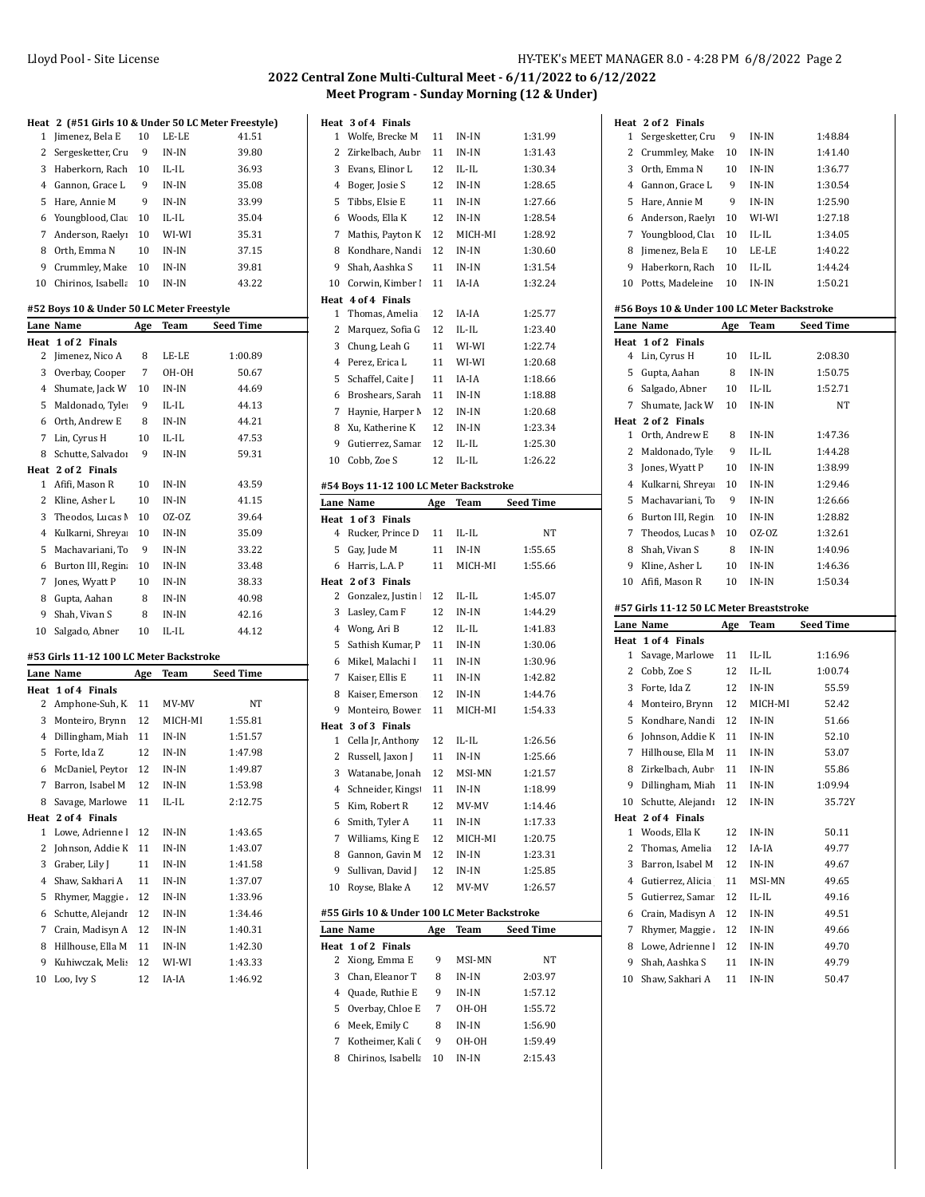## **2022 Central Zone Multi-Cultural Meet - 6/11/2022 to 6/12/2022 Meet Program - Sunday Morning (12 & Under)**

| Heat           | 2 (#51 Girls 10 & Under 50 LC Meter Freestyle) |            |             |                  |
|----------------|------------------------------------------------|------------|-------------|------------------|
| 1              | Jimenez, Bela E                                | 10         | LE-LE       | 41.51            |
| 2              | Sergesketter, Cru                              | 9          | IN-IN       | 39.80            |
| 3              | Haberkorn, Rach                                | 10         | IL-IL       | 36.93            |
| 4              | Gannon, Grace L                                | 9          | IN-IN       | 35.08            |
| 5              | Hare, Annie M                                  | 9          | IN-IN       | 33.99            |
| 6              | Youngblood, Clau                               | 10         | IL-IL       | 35.04            |
| 7              | Anderson, Raelyı                               | 10         | WI-WI       | 35.31            |
| 8              | Orth, Emma N                                   | 10         | IN-IN       | 37.15            |
| 9              | Crummley, Make                                 | 10         | IN-IN       | 39.81            |
| 10             | Chirinos, Isabella                             | 10         | $IN-IN$     | 43.22            |
|                | #52 Boys 10 & Under 50 LC Meter Freestyle      |            |             |                  |
|                | Lane Name                                      | Age        | Team        | <b>Seed Time</b> |
| Heat           | 1 of 2 Finals                                  |            |             |                  |
| 2              | Jimenez, Nico A                                | 8          | LE-LE       | 1:00.89          |
| 3              | Overbay, Cooper                                | 7          | OH-OH       | 50.67            |
| $\overline{4}$ | Shumate, Jack W                                | 10         | IN-IN       | 44.69            |
| 5              | Maldonado, Tyle                                | 9          | IL-IL       | 44.13            |
| 6              | Orth, Andrew E                                 | 8          | $IN-IN$     | 44.21            |
| 7              | Lin, Cyrus H                                   | 10         | IL-IL       | 47.53            |
| 8              | Schutte. Salvado:                              | 9          | IN-IN       | 59.31            |
|                | Heat 2 of 2 Finals                             |            |             |                  |
| 1              | Afifi, Mason R                                 | 10         | IN-IN       | 43.59            |
| 2              | Kline, Asher L                                 | 10         | IN-IN       | 41.15            |
| 3              | Theodos, Lucas I                               | 10         | 0Z-0Z       | 39.64            |
| 4              | Kulkarni, Shreya                               | 10         | $IN-IN$     | 35.09            |
| 5              | Machavariani, Tc                               | 9          | IN-IN       | 33.22            |
| 6              | Burton III, Regin                              | 10         | IN-IN       | 33.48            |
| 7              | Jones, Wyatt P                                 | 10         | IN-IN       | 38.33            |
| 8              | Gupta, Aahan                                   | 8          | IN-IN       | 40.98            |
| 9              | Shah, Vivan S                                  | 8          | IN-IN       | 42.16            |
| 10             | Salgado, Abner                                 | 10         | IL-IL       | 44.12            |
|                | #53 Girls 11-12 100 LC Meter Backstroke        |            |             |                  |
|                | Lane Name                                      | <u>Age</u> | <b>Team</b> | Seed Time        |
| Heat           | 1 of 4 Finals                                  |            |             |                  |
| 2              | Amphone-Suh, K                                 | 11         | MV-MV       | NΤ               |
| 3              | Monteiro, Brynn                                | 12         | MICH-MI     | 1:55.81          |
| 4              | Dillingham, Miah                               | 11         | IN-IN       | 1:51.57          |
| 5              | Forte, Ida Z                                   | 12         | IN-IN       | 1:47.98          |
| 6              | McDaniel, Peytor                               | 12         | IN-IN       | 1:49.87          |
| 7              | Barron, Isabel M                               | 12         | IN-IN       | 1:53.98          |
| 8              | Savage, Marlowe                                | 11         | IL-IL       | 2:12.75          |
| Heat           | 2 of 4 Finals                                  |            |             |                  |
| 1              | Lowe, Adrienne l                               | 12         | $IN-IN$     | 1:43.65          |
| 2              | Johnson, Addie K                               | 11         | $IN-IN$     | 1:43.07          |
| 3              | Graber, Lily J                                 | 11         | IN-IN       | 1:41.58          |
| 4              | Shaw, Sakhari A                                | 11         | IN-IN       | 1:37.07          |
| 5              | Rhymer, Maggie.                                | 12         | IN-IN       | 1:33.96          |
| 6              | Schutte, Alejandı                              | 12         | IN-IN       | 1:34.46          |
| 7              | Crain, Madisyn A                               | 12         | IN-IN       | 1:40.31          |
| 8              | Hillhouse, Ella M                              | 11         | IN-IN       | 1:42.30          |
| 9              | Kuhiwczak, Meli:                               | 12         | WI-WI       | 1:43.33          |
| 10             | Loo, Ivy S                                     | 12         | IA-IA       | 1:46.92          |

|           | Heat 3 of 4 Finals                           |            |             |           |
|-----------|----------------------------------------------|------------|-------------|-----------|
| 1         | Wolfe, Brecke M                              | 11         | IN-IN       | 1:31.99   |
| 2         | Zirkelbach, Aubr                             | 11         | $IN-IN$     | 1:31.43   |
| 3         | Evans, Elinor L                              | 12         | IL-IL       | 1:30.34   |
| 4         | Boger, Josie S                               | 12         | IN-IN       | 1:28.65   |
| 5         | Tibbs, Elsie E                               | 11         | IN-IN       | 1:27.66   |
| 6         | Woods, Ella K                                | 12         | IN-IN       | 1:28.54   |
| 7         | Mathis, Payton K                             | 12         | MICH-MI     | 1:28.92   |
| 8         | Kondhare, Nandi                              | 12         | IN-IN       | 1:30.60   |
| 9         | Shah, Aashka S                               | 11         | IN-IN       | 1:31.54   |
| 10        | Corwin, Kimber I                             | 11         | IA-IA       | 1:32.24   |
| Heat      | 4 of 4 Finals                                |            |             |           |
| 1         | Thomas, Amelia                               | 12         | IA-IA       | 1:25.77   |
| 2         | Marquez, Sofia G                             | 12         | IL-IL       | 1:23.40   |
| 3         | Chung, Leah G                                | 11         | WI-WI       | 1:22.74   |
| 4         | Perez, Erica L                               | 11         | WI-WI       | 1:20.68   |
| 5         | Schaffel, Caite J                            | 11         | IA-IA       | 1:18.66   |
| 6         | Broshears, Sarah                             | 11         | IN-IN       | 1:18.88   |
| 7         | Haynie, Harper M                             | 12         | IN-IN       | 1:20.68   |
| 8         | Xu, Katherine K                              | 12         | IN-IN       | 1:23.34   |
| 9         | Gutierrez, Samar                             | 12         | IL-IL       | 1:25.30   |
| 10        | Cobb, Zoe S                                  | 12         | IL-IL       | 1:26.22   |
|           | #54 Boys 11-12 100 LC Meter Backstroke       |            |             |           |
|           | Lane Name                                    | <u>Age</u> | Team        | Seed Time |
|           | Heat 1 of 3 Finals                           |            |             |           |
| 4         | Rucker, Prince D                             | 11         | $IL$ - $IL$ | NΤ        |
| 5         | Gay, Jude M                                  | 11         | IN-IN       | 1:55.65   |
| 6         | Harris, L.A. P                               | 11         | MICH-MI     | 1:55.66   |
|           | Heat 2 of 3 Finals                           |            |             |           |
| 2         | Gonzalez, Justin I                           | 12         | IL-IL       | 1:45.07   |
| 3         | Lasley, Cam F                                | 12         | IN-IN       | 1:44.29   |
| 4         | Wong, Ari B                                  | 12         | IL-IL       | 1:41.83   |
| 5         | Sathish Kumar, P                             | 11         | IN-IN       | 1:30.06   |
| 6         | Mikel, Malachi I                             | 11         | IN-IN       | 1:30.96   |
| 7         | Kaiser, Ellis E                              | 11         | IN-IN       | 1:42.82   |
| 8         | Kaiser, Emerson                              | 12         | IN-IN       | 1:44.76   |
| 9         | Monteiro, Bower                              | 11         | MICH-MI     | 1:54.33   |
| Heat      | 3 of 3 Finals                                |            |             |           |
| 1         | Cella Jr, Anthony                            | 12         | IL-IL       | 1:26.56   |
| 2         | Russell, Jaxon J                             | 11         | IN-IN       | 1:25.66   |
| 3         | Watanabe, Jonah                              | 12         | MSI-MN      | 1:21.57   |
| 4         | Schneider, Kings                             | 11         | $IN-IN$     | 1:18.99   |
| 5         | Kim, Robert R                                | 12         | MV-MV       | 1:14.46   |
| 6         | Smith, Tyler A                               | 11         | IN-IN       | 1:17.33   |
| 7         | Williams, King E                             | 12         | MICH-MI     | 1:20.75   |
| 8         | Gannon, Gavin M                              | 12         | $IN-IN$     | 1:23.31   |
| 9         | Sullivan, David J                            | 12         | IN-IN       | 1:25.85   |
| 10        | Royse, Blake A                               | 12         | MV-MV       | 1:26.57   |
|           |                                              |            |             |           |
|           | #55 Girls 10 & Under 100 LC Meter Backstroke |            |             |           |
|           | Lane Name                                    | Age        | <b>Team</b> | Seed Time |
| Heat<br>2 | 1 of 2 Finals<br>Xiong, Emma E               | 9          | MSI-MN      | NΤ        |
| 3         | Chan, Eleanor T                              | 8          | IN-IN       | 2:03.97   |
| 4         | Quade, Ruthie E                              | 9          | IN-IN       | 1:57.12   |
| 5         | Overbay, Chloe E                             | 7          | OH-OH       | 1:55.72   |
|           |                                              |            |             |           |

 Meek, Emily C 8 IN-IN 1:56.90 7 Kotheimer, Kali ( 9 OH-OH 1:59.49 8 Chirinos, Isabella 10 IN-IN 2:15.43

|         | Heat 2 of 2 Finals                          |          |                |                |  |
|---------|---------------------------------------------|----------|----------------|----------------|--|
| 1       | Sergesketter, Cru                           | 9        | IN-IN          | 1:48.84        |  |
| 2       | Crummley, Make                              | 10       | IN-IN          | 1:41.40        |  |
|         |                                             |          |                |                |  |
| 3       | Orth, Emma N                                | 10       | IN-IN          | 1:36.77        |  |
|         | 4 Gannon, Grace L                           | 9        | $IN-IN$        | 1:30.54        |  |
| 5       | Hare, Annie M                               | 9        | IN-IN          | 1:25.90        |  |
| 6       | Anderson, Raelyı                            | 10       | WI-WI          | 1:27.18        |  |
| 7       | Youngblood, Clau                            | 10       | IL-IL          | 1:34.05        |  |
| 8       | Jimenez, Bela E                             | 10       | LE-LE          | 1:40.22        |  |
| 9       | Haberkorn, Rach                             | 10       | IL-IL          | 1:44.24        |  |
| 10      | Potts, Madeleine                            | 10       | $IN-IN$        | 1:50.21        |  |
|         |                                             |          |                |                |  |
|         | #56 Boys 10 & Under 100 LC Meter Backstroke |          |                |                |  |
|         | Lane Name                                   | Age      | Team           | Seed Time      |  |
|         | Heat 1 of 2 Finals                          |          |                |                |  |
| 4       | Lin, Cyrus H                                | 10       | IL-IL          | 2:08.30        |  |
| 5       | Gupta, Aahan                                | 8        | IN-IN          | 1:50.75        |  |
| 6       | Salgado, Abner                              | 10       | IL-IL          | 1:52.71        |  |
| 7       | Shumate, Jack W                             | 10       | IN-IN          | NΤ             |  |
|         | Heat 2 of 2 Finals                          |          |                |                |  |
| 1       | Orth, Andrew E                              | 8        | IN-IN          | 1:47.36        |  |
| 2       | Maldonado, Tyle                             | 9        | IL-IL          | 1:44.28        |  |
| 3       | Jones, Wyatt P                              | 10       | IN-IN          | 1:38.99        |  |
| 4       | Kulkarni, Shreya                            | 10       | IN-IN          | 1:29.46        |  |
| 5       | Machavariani, To                            | 9        | IN-IN          | 1:26.66        |  |
| 6       | Burton III, Regin                           | 10       | IN-IN          | 1:28.82        |  |
| 7       | Theodos, Lucas N                            | 10       | OZ-OZ          | 1:32.61        |  |
| 8       | Shah, Vivan S                               | 8        | IN-IN          | 1:40.96        |  |
| 9       | Kline, Asher L                              | 10       | IN-IN          | 1:46.36        |  |
| 10      | Afifi, Mason R                              | 10       | IN-IN          | 1:50.34        |  |
|         |                                             |          |                |                |  |
|         | #57 Girls 11-12 50 LC Meter Breaststroke    |          |                |                |  |
|         | Lane Name                                   | Age      | Team           | Seed Time      |  |
| Heat    | 1 of 4 Finals                               |          |                |                |  |
| 1       | Savage, Marlowe                             | 11       | IL-IL          | 1:16.96        |  |
| 2       | Cobb, Zoe S                                 | 12       | IL-IL          | 1:00.74        |  |
| 3       | Forte, Ida Z                                | 12       | IN-IN          | 55.59          |  |
|         | 4 Monteiro, Brynn                           | 12       | MICH-MI        | 52.42          |  |
| 5       | Kondhare, Nandi                             | 12       | IN-IN          | 51.66          |  |
| 6       | Johnson, Addie K                            | 11       | IN-IN          | 52.10          |  |
| 7       | Hillhouse, Ella M                           | 11       | IN-IN          | 53.07          |  |
| 8       | Zirkelbach, Aubr                            | 11       | IN-IN          | 55.86          |  |
| 9       | Dillingham, Miah                            | 11       | IN-IN          | 1:09.94        |  |
| 10      | Schutte, Alejandı                           | 12       | IN-IN          | 35.72Y         |  |
| Heat    | 2 of 4 Finals                               |          |                |                |  |
| 1       | Woods, Ella K                               | 12       | IN-IN          | 50.11          |  |
| 2       | Thomas, Amelia                              | 12       | IA-IA          | 49.77          |  |
| 3       |                                             |          | IN-IN          | 49.67          |  |
|         |                                             |          |                |                |  |
|         | Barron, Isabel M                            | 12       |                |                |  |
| 4       | Gutierrez, Alicia                           | 11       | MSI-MN         | 49.65          |  |
| 5       | Gutierrez, Samar                            | 12       | IL-IL          | 49.16          |  |
| 6       | Crain, Madisyn A                            | 12       | IN-IN          | 49.51          |  |
| 7       | Rhymer, Maggie.                             | 12       | IN-IN          | 49.66          |  |
| 8       | Lowe, Adrienne l                            | 12       | IN-IN          | 49.70          |  |
| 9<br>10 | Shah, Aashka S<br>Shaw, Sakhari A           | 11<br>11 | IN-IN<br>IN-IN | 49.79<br>50.47 |  |